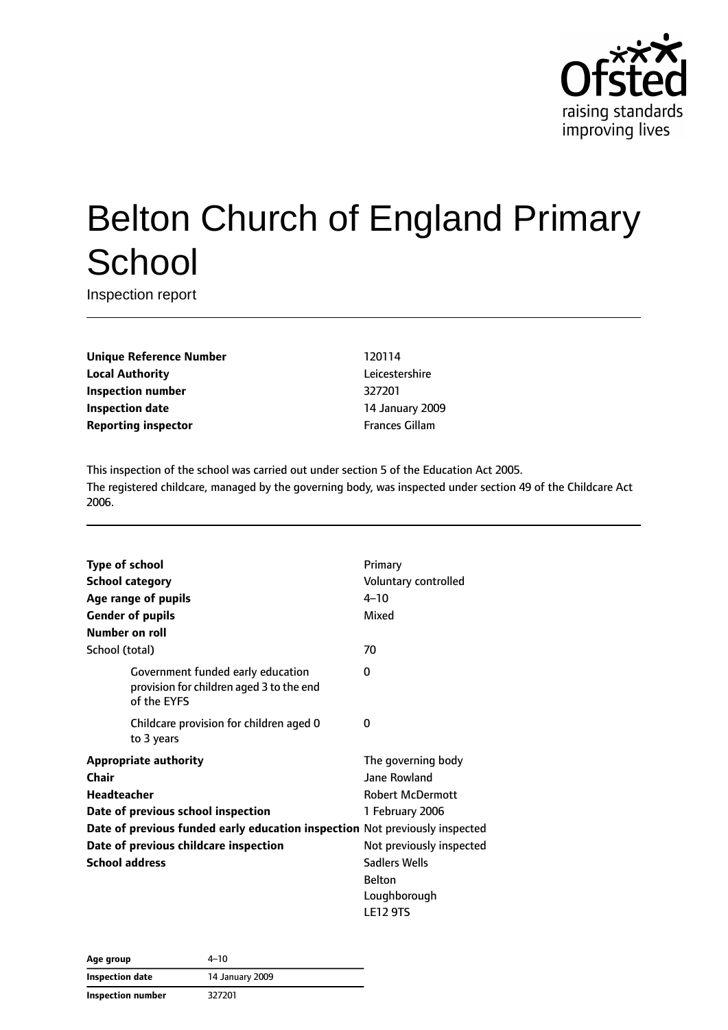

# Belton Church of England Primary **School**

Inspection report

**Unique Reference Number** 120114 **Local Authority** Leicestershire **Inspection number** 327201 **Inspection date** 14 January 2009 **Reporting inspector Frances Gillam** 

This inspection of the school was carried out under section 5 of the Education Act 2005. The registered childcare, managed by the governing body, was inspected under section 49 of the Childcare Act 2006.

| <b>Type of school</b>                                                                        | Primary                  |
|----------------------------------------------------------------------------------------------|--------------------------|
| <b>School category</b>                                                                       | Voluntary controlled     |
| Age range of pupils                                                                          | $4 - 10$                 |
| <b>Gender of pupils</b>                                                                      | Mixed                    |
| Number on roll                                                                               |                          |
| School (total)                                                                               | 70                       |
| Government funded early education<br>provision for children aged 3 to the end<br>of the EYFS | 0                        |
| Childcare provision for children aged 0<br>to 3 years                                        | 0                        |
| <b>Appropriate authority</b>                                                                 | The governing body       |
| Chair                                                                                        | Jane Rowland             |
| <b>Headteacher</b>                                                                           | <b>Robert McDermott</b>  |
| Date of previous school inspection                                                           | 1 February 2006          |
| Date of previous funded early education inspection Not previously inspected                  |                          |
| Date of previous childcare inspection                                                        | Not previously inspected |
| <b>School address</b>                                                                        | <b>Sadlers Wells</b>     |
|                                                                                              | <b>Belton</b>            |
|                                                                                              | Loughborough             |
|                                                                                              | <b>LE12 9TS</b>          |

| Age group         | 4–10            |
|-------------------|-----------------|
| Inspection date   | 14 January 2009 |
| Inspection number | 327201          |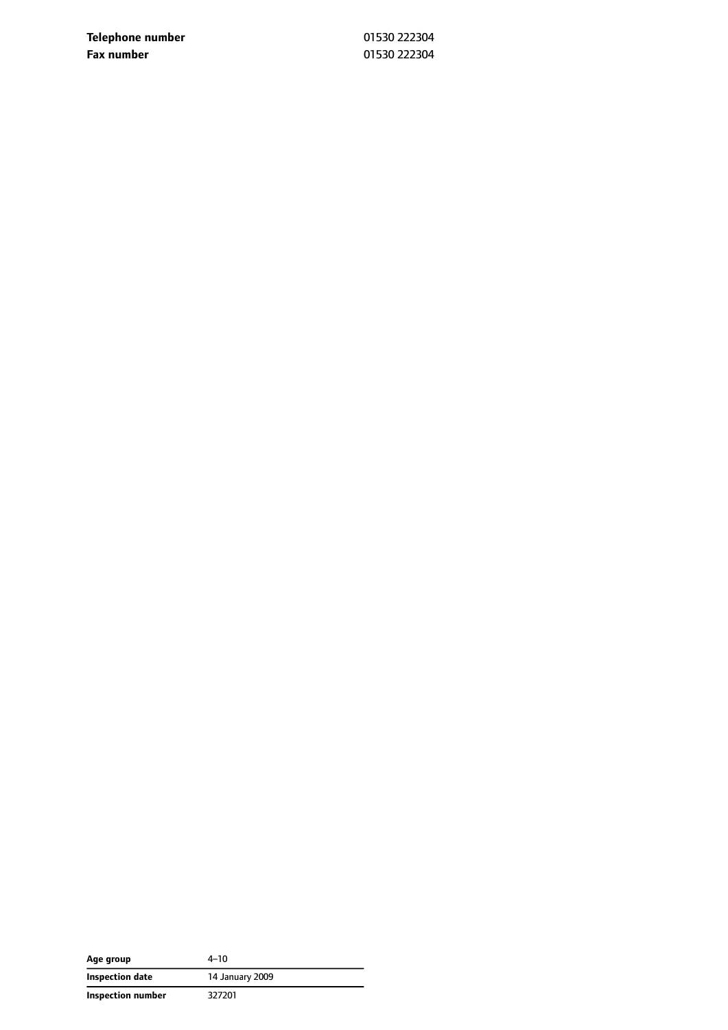**Telephone number** 01530 222304 **Fax number** 01530 222304

| Age group         | $4 - 10$        |
|-------------------|-----------------|
| Inspection date   | 14 January 2009 |
| Inspection number | 327201          |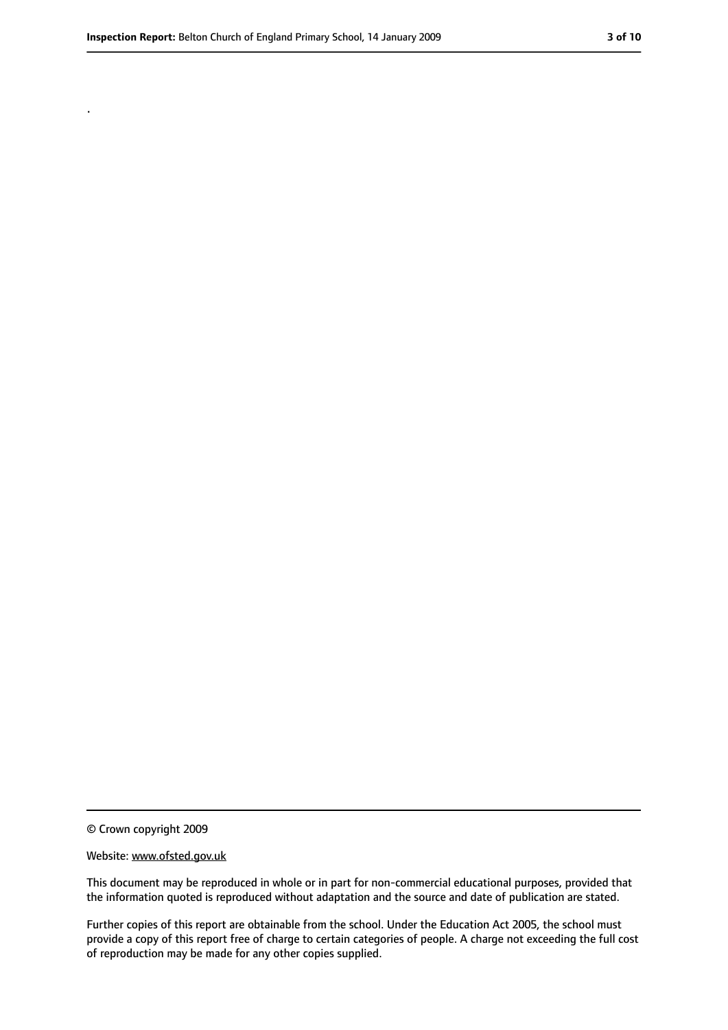.

<sup>©</sup> Crown copyright 2009

Website: www.ofsted.gov.uk

This document may be reproduced in whole or in part for non-commercial educational purposes, provided that the information quoted is reproduced without adaptation and the source and date of publication are stated.

Further copies of this report are obtainable from the school. Under the Education Act 2005, the school must provide a copy of this report free of charge to certain categories of people. A charge not exceeding the full cost of reproduction may be made for any other copies supplied.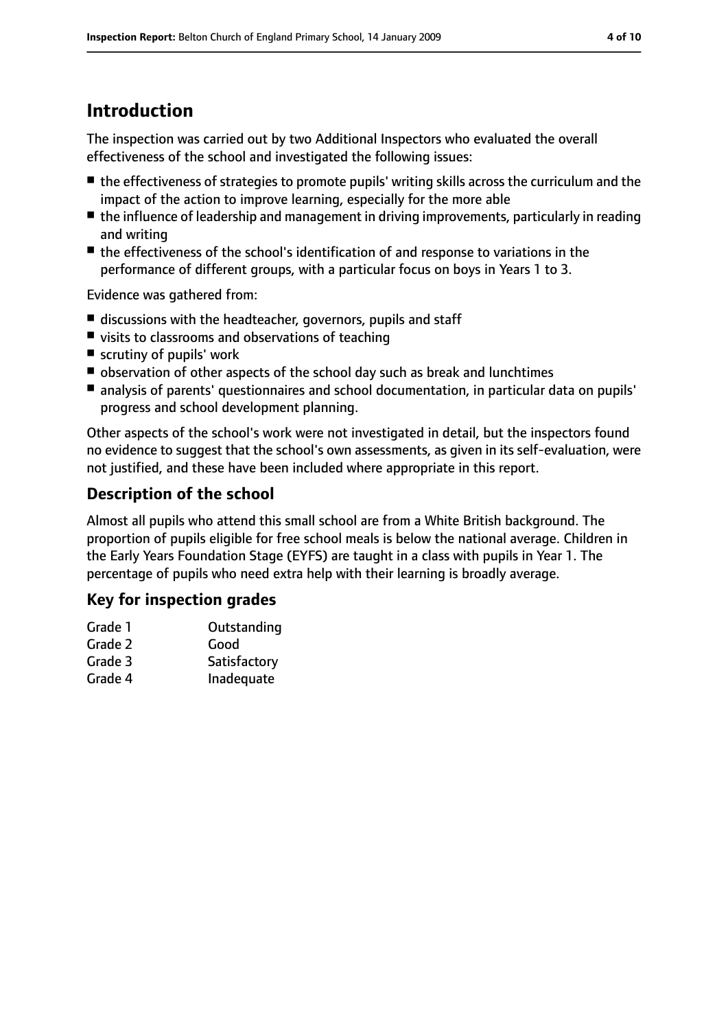## **Introduction**

The inspection was carried out by two Additional Inspectors who evaluated the overall effectiveness of the school and investigated the following issues:

- the effectiveness of strategies to promote pupils' writing skills across the curriculum and the impact of the action to improve learning, especially for the more able
- the influence of leadership and management in driving improvements, particularly in reading and writing
- the effectiveness of the school's identification of and response to variations in the performance of different groups, with a particular focus on boys in Years 1 to 3.

Evidence was gathered from:

- discussions with the headteacher, governors, pupils and staff
- visits to classrooms and observations of teaching
- scrutiny of pupils' work
- observation of other aspects of the school day such as break and lunchtimes
- analysis of parents' questionnaires and school documentation, in particular data on pupils' progress and school development planning.

Other aspects of the school's work were not investigated in detail, but the inspectors found no evidence to suggest that the school's own assessments, as given in its self-evaluation, were not justified, and these have been included where appropriate in this report.

### **Description of the school**

Almost all pupils who attend this small school are from a White British background. The proportion of pupils eligible for free school meals is below the national average. Children in the Early Years Foundation Stage (EYFS) are taught in a class with pupils in Year 1. The percentage of pupils who need extra help with their learning is broadly average.

### **Key for inspection grades**

| Grade 1 | Outstanding  |  |
|---------|--------------|--|
| Grade 2 | Good         |  |
| Grade 3 | Satisfactory |  |

Grade 4 Inadequate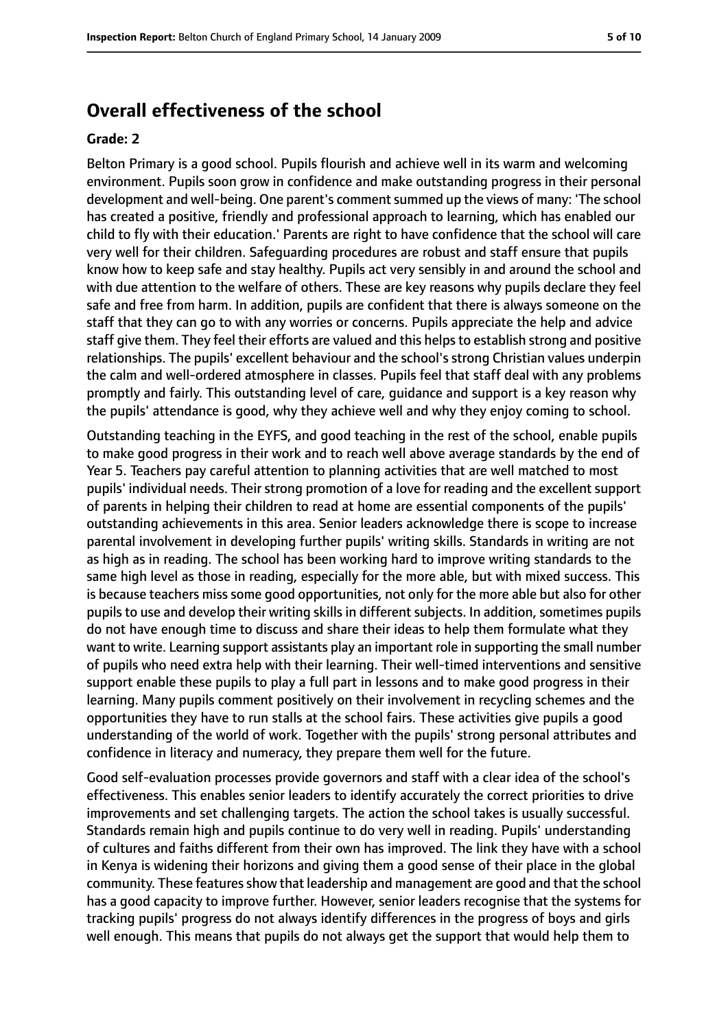### **Overall effectiveness of the school**

#### **Grade: 2**

Belton Primary is a good school. Pupils flourish and achieve well in its warm and welcoming environment. Pupils soon grow in confidence and make outstanding progress in their personal development and well-being. One parent's commentsummed up the views of many: 'The school has created a positive, friendly and professional approach to learning, which has enabled our child to fly with their education.' Parents are right to have confidence that the school will care very well for their children. Safeguarding procedures are robust and staff ensure that pupils know how to keep safe and stay healthy. Pupils act very sensibly in and around the school and with due attention to the welfare of others. These are key reasons why pupils declare they feel safe and free from harm. In addition, pupils are confident that there is always someone on the staff that they can go to with any worries or concerns. Pupils appreciate the help and advice staff give them. They feel their efforts are valued and this helps to establish strong and positive relationships. The pupils' excellent behaviour and the school's strong Christian values underpin the calm and well-ordered atmosphere in classes. Pupils feel that staff deal with any problems promptly and fairly. This outstanding level of care, guidance and support is a key reason why the pupils' attendance is good, why they achieve well and why they enjoy coming to school.

Outstanding teaching in the EYFS, and good teaching in the rest of the school, enable pupils to make good progress in their work and to reach well above average standards by the end of Year 5. Teachers pay careful attention to planning activities that are well matched to most pupils' individual needs. Their strong promotion of a love for reading and the excellent support of parents in helping their children to read at home are essential components of the pupils' outstanding achievements in this area. Senior leaders acknowledge there is scope to increase parental involvement in developing further pupils' writing skills. Standards in writing are not as high as in reading. The school has been working hard to improve writing standards to the same high level as those in reading, especially for the more able, but with mixed success. This is because teachers miss some good opportunities, not only for the more able but also for other pupils to use and develop their writing skills in different subjects. In addition, sometimes pupils do not have enough time to discuss and share their ideas to help them formulate what they want to write. Learning support assistants play an important role in supporting the small number of pupils who need extra help with their learning. Their well-timed interventions and sensitive support enable these pupils to play a full part in lessons and to make good progress in their learning. Many pupils comment positively on their involvement in recycling schemes and the opportunities they have to run stalls at the school fairs. These activities give pupils a good understanding of the world of work. Together with the pupils' strong personal attributes and confidence in literacy and numeracy, they prepare them well for the future.

Good self-evaluation processes provide governors and staff with a clear idea of the school's effectiveness. This enables senior leaders to identify accurately the correct priorities to drive improvements and set challenging targets. The action the school takes is usually successful. Standards remain high and pupils continue to do very well in reading. Pupils' understanding of cultures and faiths different from their own has improved. The link they have with a school in Kenya is widening their horizons and giving them a good sense of their place in the global community. These features show that leadership and management are good and that the school has a good capacity to improve further. However, senior leaders recognise that the systems for tracking pupils' progress do not always identify differences in the progress of boys and girls well enough. This means that pupils do not always get the support that would help them to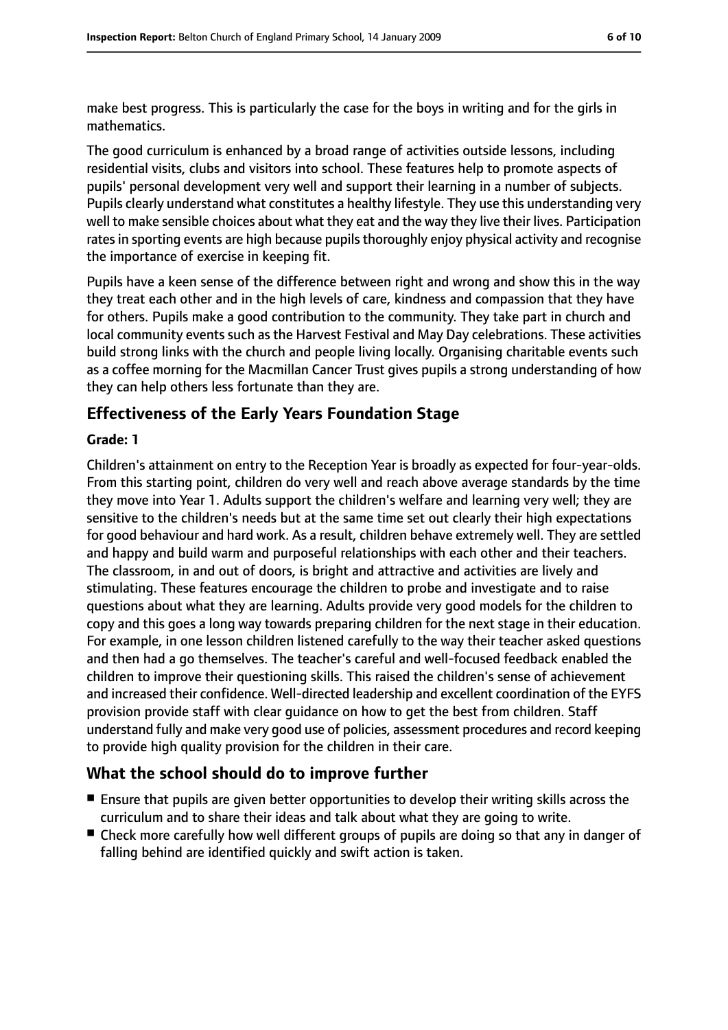make best progress. This is particularly the case for the boys in writing and for the girls in mathematics.

The good curriculum is enhanced by a broad range of activities outside lessons, including residential visits, clubs and visitors into school. These features help to promote aspects of pupils' personal development very well and support their learning in a number of subjects. Pupils clearly understand what constitutes a healthy lifestyle. They use this understanding very well to make sensible choices about what they eat and the way they live their lives. Participation rates in sporting events are high because pupils thoroughly enjoy physical activity and recognise the importance of exercise in keeping fit.

Pupils have a keen sense of the difference between right and wrong and show this in the way they treat each other and in the high levels of care, kindness and compassion that they have for others. Pupils make a good contribution to the community. They take part in church and local community events such as the Harvest Festival and May Day celebrations. These activities build strong links with the church and people living locally. Organising charitable events such as a coffee morning for the Macmillan Cancer Trust gives pupils a strong understanding of how they can help others less fortunate than they are.

### **Effectiveness of the Early Years Foundation Stage**

#### **Grade: 1**

Children's attainment on entry to the Reception Year is broadly as expected for four-year-olds. From this starting point, children do very well and reach above average standards by the time they move into Year 1. Adults support the children's welfare and learning very well; they are sensitive to the children's needs but at the same time set out clearly their high expectations for good behaviour and hard work. As a result, children behave extremely well. They are settled and happy and build warm and purposeful relationships with each other and their teachers. The classroom, in and out of doors, is bright and attractive and activities are lively and stimulating. These features encourage the children to probe and investigate and to raise questions about what they are learning. Adults provide very good models for the children to copy and this goes a long way towards preparing children for the next stage in their education. For example, in one lesson children listened carefully to the way their teacher asked questions and then had a go themselves. The teacher's careful and well-focused feedback enabled the children to improve their questioning skills. This raised the children's sense of achievement and increased their confidence. Well-directed leadership and excellent coordination of the EYFS provision provide staff with clear guidance on how to get the best from children. Staff understand fully and make very good use of policies, assessment procedures and record keeping to provide high quality provision for the children in their care.

### **What the school should do to improve further**

- Ensure that pupils are given better opportunities to develop their writing skills across the curriculum and to share their ideas and talk about what they are going to write.
- Check more carefully how well different groups of pupils are doing so that any in danger of falling behind are identified quickly and swift action is taken.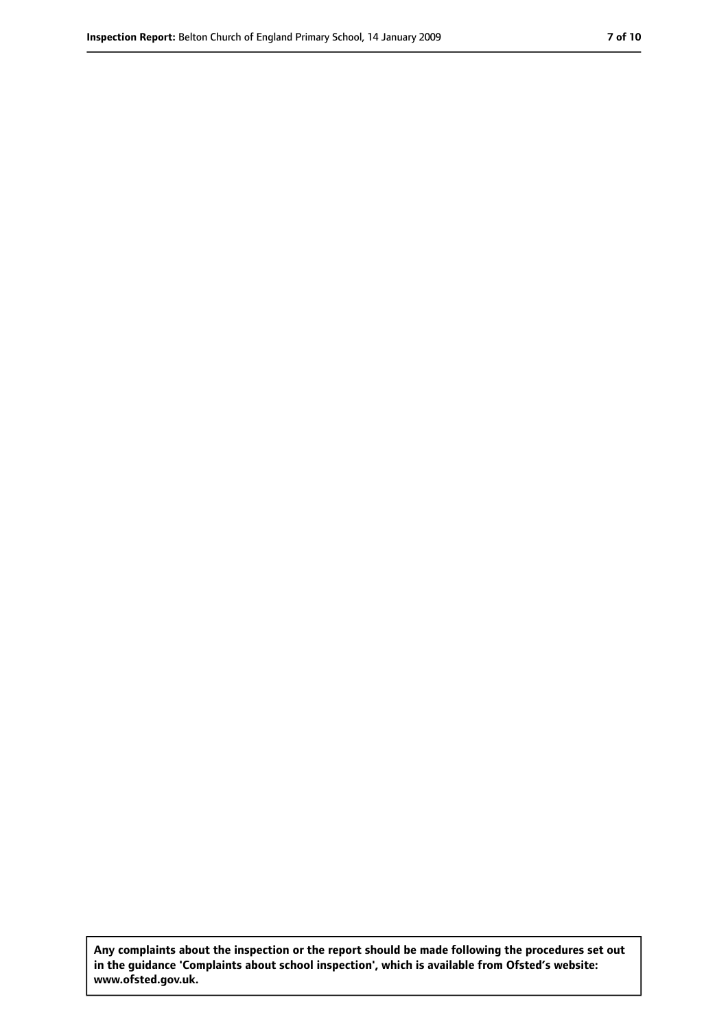**Any complaints about the inspection or the report should be made following the procedures set out in the guidance 'Complaints about school inspection', which is available from Ofsted's website: www.ofsted.gov.uk.**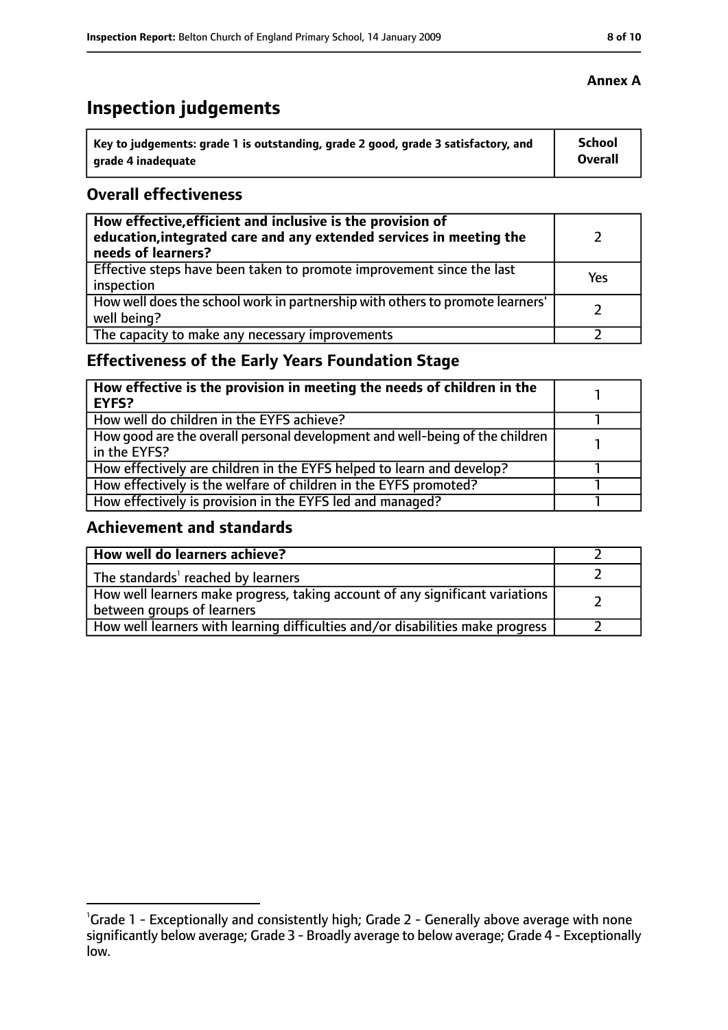# **Inspection judgements**

| Key to judgements: grade 1 is outstanding, grade 2 good, grade 3 satisfactory, and | <b>School</b>  |
|------------------------------------------------------------------------------------|----------------|
| arade 4 inadequate                                                                 | <b>Overall</b> |

### **Overall effectiveness**

| How effective, efficient and inclusive is the provision of<br>education, integrated care and any extended services in meeting the<br>needs of learners? |     |
|---------------------------------------------------------------------------------------------------------------------------------------------------------|-----|
| Effective steps have been taken to promote improvement since the last<br>inspection                                                                     | Yes |
| How well does the school work in partnership with others to promote learners'<br>well being?                                                            |     |
| The capacity to make any necessary improvements                                                                                                         |     |

### **Effectiveness of the Early Years Foundation Stage**

| How effective is the provision in meeting the needs of children in the<br>l EYFS?            |  |
|----------------------------------------------------------------------------------------------|--|
| How well do children in the EYFS achieve?                                                    |  |
| How good are the overall personal development and well-being of the children<br>in the EYFS? |  |
| How effectively are children in the EYFS helped to learn and develop?                        |  |
| How effectively is the welfare of children in the EYFS promoted?                             |  |
| How effectively is provision in the EYFS led and managed?                                    |  |

### **Achievement and standards**

| How well do learners achieve?                                                                                 |  |
|---------------------------------------------------------------------------------------------------------------|--|
| The standards <sup>1</sup> reached by learners                                                                |  |
| How well learners make progress, taking account of any significant variations  <br>between groups of learners |  |
| How well learners with learning difficulties and/or disabilities make progress                                |  |

<sup>&</sup>lt;sup>1</sup>Grade 1 - Exceptionally and consistently high; Grade 2 - Generally above average with none significantly below average; Grade 3 - Broadly average to below average; Grade 4 - Exceptionally low.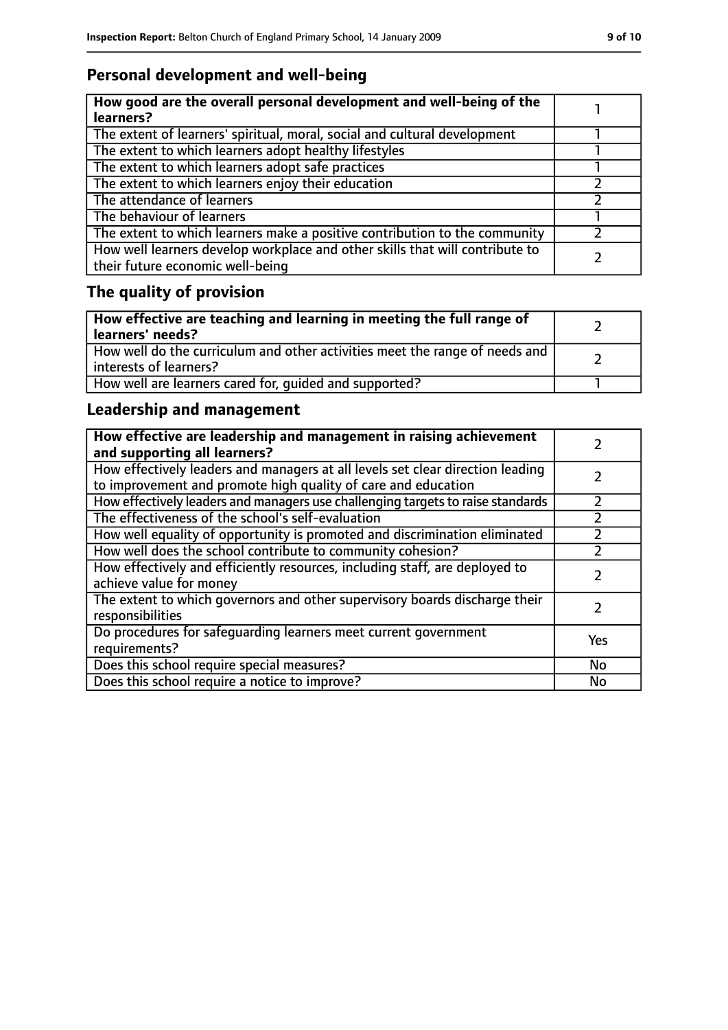### **Personal development and well-being**

| How good are the overall personal development and well-being of the<br>learners?                                 |  |
|------------------------------------------------------------------------------------------------------------------|--|
| The extent of learners' spiritual, moral, social and cultural development                                        |  |
| The extent to which learners adopt healthy lifestyles                                                            |  |
| The extent to which learners adopt safe practices                                                                |  |
| The extent to which learners enjoy their education                                                               |  |
| The attendance of learners                                                                                       |  |
| The behaviour of learners                                                                                        |  |
| The extent to which learners make a positive contribution to the community                                       |  |
| How well learners develop workplace and other skills that will contribute to<br>their future economic well-being |  |

### **The quality of provision**

| How effective are teaching and learning in meeting the full range of<br>learners' needs?              |  |
|-------------------------------------------------------------------------------------------------------|--|
| How well do the curriculum and other activities meet the range of needs and<br>interests of learners? |  |
| How well are learners cared for, quided and supported?                                                |  |

### **Leadership and management**

| How effective are leadership and management in raising achievement<br>and supporting all learners?                                              |           |
|-------------------------------------------------------------------------------------------------------------------------------------------------|-----------|
| How effectively leaders and managers at all levels set clear direction leading<br>to improvement and promote high quality of care and education |           |
| How effectively leaders and managers use challenging targets to raise standards                                                                 | フ         |
| The effectiveness of the school's self-evaluation                                                                                               |           |
| How well equality of opportunity is promoted and discrimination eliminated                                                                      |           |
| How well does the school contribute to community cohesion?                                                                                      |           |
| How effectively and efficiently resources, including staff, are deployed to<br>achieve value for money                                          |           |
| The extent to which governors and other supervisory boards discharge their<br>responsibilities                                                  |           |
| Do procedures for safequarding learners meet current government<br>requirements?                                                                | Yes       |
| Does this school require special measures?                                                                                                      | <b>No</b> |
| Does this school require a notice to improve?                                                                                                   | No        |